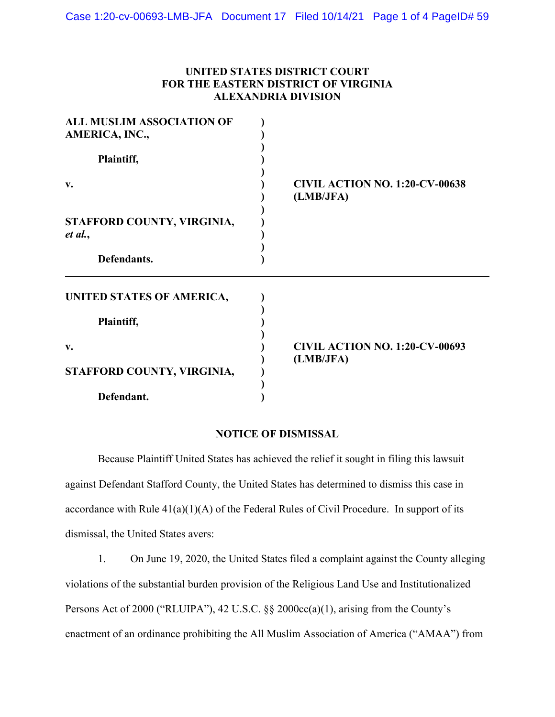## **UNITED STATES DISTRICT COURT FOR THE EASTERN DISTRICT OF VIRGINIA ALEXANDRIA DIVISION**

| <b>ALL MUSLIM ASSOCIATION OF</b><br>AMERICA, INC., |                                                    |
|----------------------------------------------------|----------------------------------------------------|
| Plaintiff,                                         |                                                    |
| v.                                                 | <b>CIVIL ACTION NO. 1:20-CV-00638</b><br>(LMB/JFA) |
| STAFFORD COUNTY, VIRGINIA,<br>et al.,              |                                                    |
| Defendants.                                        |                                                    |
| UNITED STATES OF AMERICA,                          |                                                    |
| Plaintiff,                                         |                                                    |
| v.                                                 | <b>CIVIL ACTION NO. 1:20-CV-00693</b>              |
| STAFFORD COUNTY, VIRGINIA,                         | (LMB/JFA)                                          |
| Defendant.                                         |                                                    |

## **NOTICE OF DISMISSAL**

Because Plaintiff United States has achieved the relief it sought in filing this lawsuit against Defendant Stafford County, the United States has determined to dismiss this case in accordance with Rule  $41(a)(1)(A)$  of the Federal Rules of Civil Procedure. In support of its dismissal, the United States avers:

1. On June 19, 2020, the United States filed a complaint against the County alleging violations of the substantial burden provision of the Religious Land Use and Institutionalized Persons Act of 2000 ("RLUIPA"), 42 U.S.C. §§ 2000cc(a)(1), arising from the County's enactment of an ordinance prohibiting the All Muslim Association of America ("AMAA") from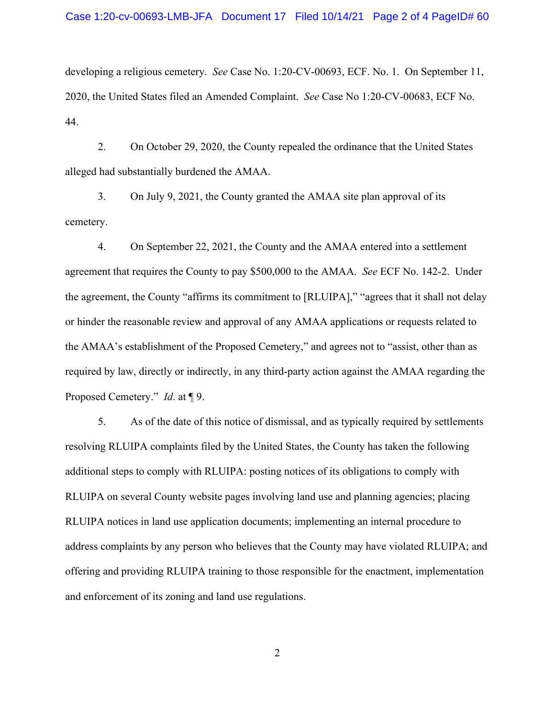developing a religious cemetery. *See* Case No. 1:20-CV-00693, ECF. No. 1. On September 11, 2020, the United States filed an Amended Complaint. *See* Case No 1:20-CV-00683, ECF No. 44.

2. On October 29, 2020, the County repealed the ordinance that the United States alleged had substantially burdened the AMAA.

3. On July 9, 2021, the County granted the AMAA site plan approval of its cemetery.

4. On September 22, 2021, the County and the AMAA entered into a settlement agreement that requires the County to pay \$500,000 to the AMAA. *See* ECF No. 142-2. Under the agreement, the County "affirms its commitment to [RLUIPA]," "agrees that it shall not delay or hinder the reasonable review and approval of any AMAA applications or requests related to the AMAA's establishment of the Proposed Cemetery," and agrees not to "assist, other than as required by law, directly or indirectly, in any third-party action against the AMAA regarding the Proposed Cemetery." *Id*. at ¶ 9.

5. As of the date of this notice of dismissal, and as typically required by settlements resolving RLUIPA complaints filed by the United States, the County has taken the following additional steps to comply with RLUIPA: posting notices of its obligations to comply with RLUIPA on several County website pages involving land use and planning agencies; placing RLUIPA notices in land use application documents; implementing an internal procedure to address complaints by any person who believes that the County may have violated RLUIPA; and offering and providing RLUIPA training to those responsible for the enactment, implementation and enforcement of its zoning and land use regulations.

2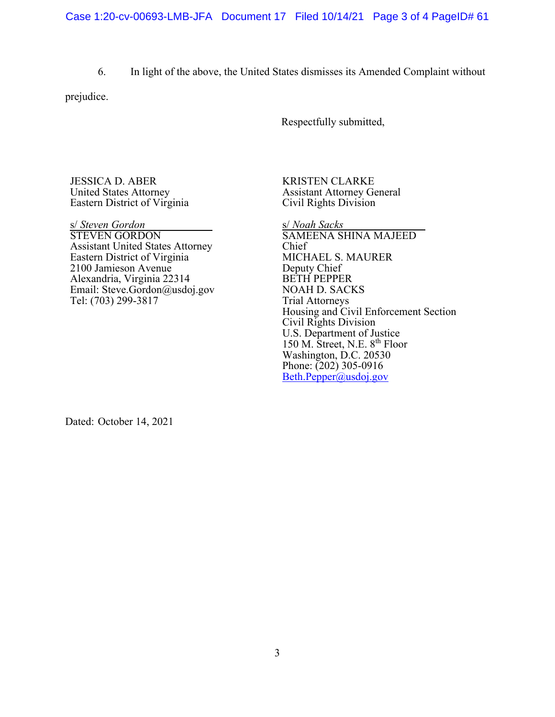6. In light of the above, the United States dismisses its Amended Complaint without

prejudice.

Respectfully submitted,

JESSICA D. ABER United States Attorney Eastern District of Virginia

s/ *Steven Gordon* STEVEN GORDON Assistant United States Attorney Eastern District of Virginia 2100 Jamieson Avenue Alexandria, Virginia 22314 Email: Steve.Gordon@usdoj.gov Tel: (703) 299-3817

KRISTEN CLARKE Assistant Attorney General Civil Rights Division

s/ *Noah Sacks* SAMEENA SHINA MAJEED Chief MICHAEL S. MAURER Deputy Chief BETH PEPPER NOAH D. SACKS Trial Attorneys Housing and Civil Enforcement Section Civil Rights Division U.S. Department of Justice 150 M. Street, N.E. 8th Floor Washington, D.C. 20530 Phone: (202) 305-0916 [Beth.Pepper@usdoj.gov](mailto:Beth.Pepper@usdoj.gov)

Dated: October 14, 2021